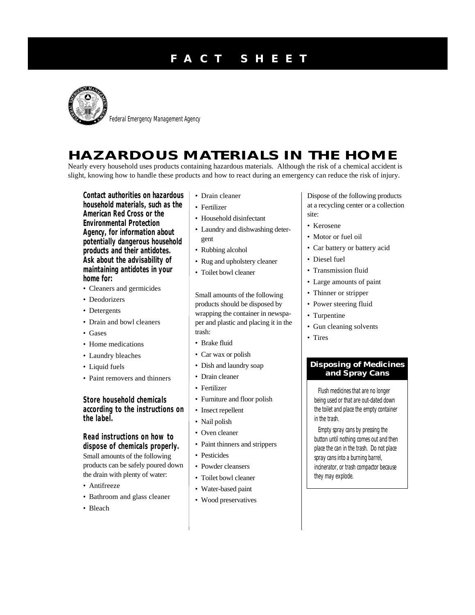## **F A C T S H E E T**



Federal Emergency Management Agency

## **HAZARDOUS MATERIALS IN THE HOME**

Nearly every household uses products containing hazardous materials. Although the risk of a chemical accident is slight, knowing how to handle these products and how to react during an emergency can reduce the risk of injury.

**Contact authorities on hazardous household materials, such as the American Red Cross or the Environmental Protection Agency, for information about potentially dangerous household products and their antidotes. Ask about the advisability of maintaining antidotes in your home for:**

- Cleaners and germicides
- Deodorizers
- Detergents
- Drain and bowl cleaners
- Gases
- Home medications
- Laundry bleaches
- Liquid fuels
- Paint removers and thinners

**Store household chemicals according to the instructions on the label.**

**Read instructions on how to dispose of chemicals properly.** Small amounts of the following products can be safely poured down the drain with plenty of water:

- Antifreeze
- Bathroom and glass cleaner
- Bleach
- Drain cleaner
- Fertilizer
- Household disinfectant
- Laundry and dishwashing detergent
- Rubbing alcohol
- Rug and upholstery cleaner
- Toilet bowl cleaner

Small amounts of the following products should be disposed by wrapping the container in newspaper and plastic and placing it in the trash:

- Brake fluid
- Car wax or polish
- Dish and laundry soap
- Drain cleaner
- Fertilizer
- Furniture and floor polish
- Insect repellent
- Nail polish
- Oven cleaner
- Paint thinners and strippers
- Pesticides
- Powder cleansers
- Toilet bowl cleaner
- Water-based paint
- Wood preservatives

Dispose of the following products at a recycling center or a collection site:

- Kerosene
- Motor or fuel oil
- Car battery or battery acid
- Diesel fuel
- Transmission fluid
- Large amounts of paint
- Thinner or stripper
- Power steering fluid
- Turpentine
- Gun cleaning solvents
- Tires

## **Disposing of Medicines and Spray Cans**

Flush *medicines* that are no longer being used or that are out-dated down the toilet and place the empty container in the trash.

Empty *spray cans* by pressing the button until nothing comes out and then place the can in the trash. Do not place spray cans into a burning barrel, incinerator, or trash compactor because they may explode.